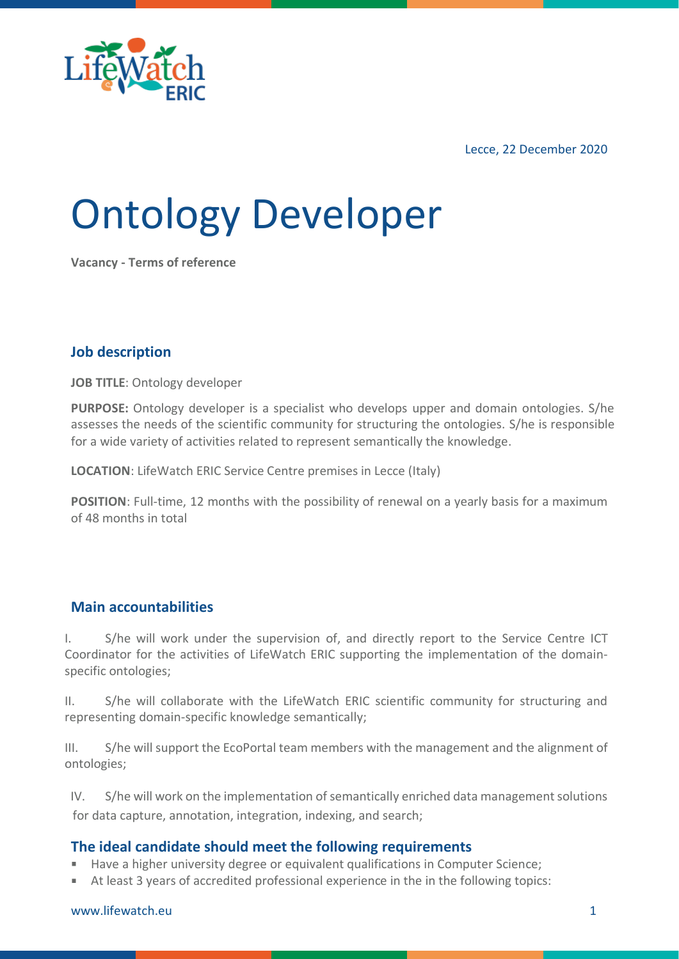

Lecce, 22 December 2020

# Ontology Developer

**Vacancy - Terms of reference**

### **Job description**

**JOB TITLE**: Ontology developer

**PURPOSE:** Ontology developer is a specialist who develops upper and domain ontologies. S/he assesses the needs of the scientific community for structuring the ontologies. S/he is responsible for a wide variety of activities related to represent semantically the knowledge.

**LOCATION**: LifeWatch ERIC Service Centre premises in Lecce (Italy)

**POSITION**: Full-time, 12 months with the possibility of renewal on a yearly basis for a maximum of 48 months in total

#### **Main accountabilities**

I. S/he will work under the supervision of, and directly report to the Service Centre ICT Coordinator for the activities of LifeWatch ERIC supporting the implementation of the domainspecific ontologies;

II. S/he will collaborate with the LifeWatch ERIC scientific community for structuring and representing domain-specific knowledge semantically;

III. S/he will support the EcoPortal team members with the management and the alignment of ontologies;

IV. S/he will work on the implementation of semantically enriched data management solutions for data capture, annotation, integration, indexing, and search;

#### **The ideal candidate should meet the following requirements**

- Have a higher university degree or equivalent qualifications in Computer Science; a.
- At least 3 years of accredited professional experience in the in the following topics:

[www.lifewatch.eu](http://www.lifewatch.eu/) 1 and 1 and 1 and 1 and 1 and 1 and 1 and 1 and 1 and 1 and 1 and 1 and 1 and 1 and 1 and 1 and 1 and 1 and 1 and 1 and 1 and 1 and 1 and 1 and 1 and 1 and 1 and 1 and 1 and 1 and 1 and 1 and 1 and 1 and 1